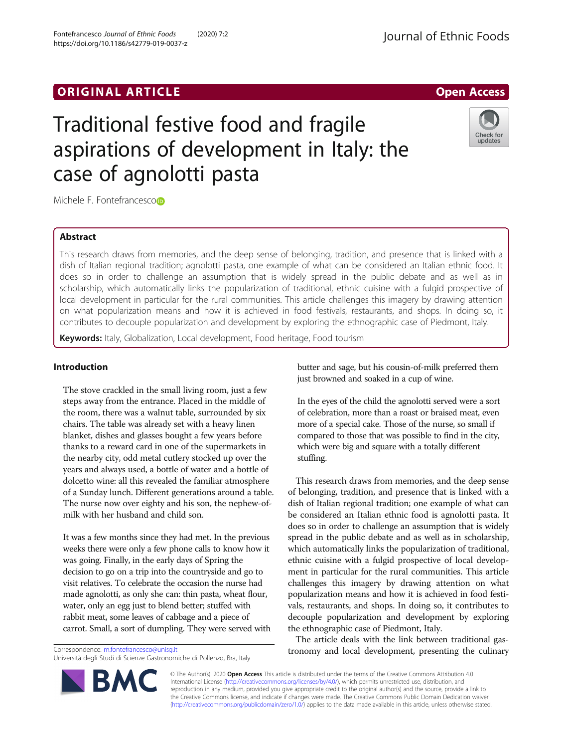# ORIGINAL ARTICLE AND INTERNATIONAL ARTICLE AND INTERNATIONAL ARTICLE AND INTERNATIONAL ARTICLE

# Traditional festive food and fragile aspirations of development in Italy: the case of agnolotti pasta

Michele F. Fontefrancesco<sup>b</sup>

# Abstract

This research draws from memories, and the deep sense of belonging, tradition, and presence that is linked with a dish of Italian regional tradition; agnolotti pasta, one example of what can be considered an Italian ethnic food. It does so in order to challenge an assumption that is widely spread in the public debate and as well as in scholarship, which automatically links the popularization of traditional, ethnic cuisine with a fulgid prospective of local development in particular for the rural communities. This article challenges this imagery by drawing attention on what popularization means and how it is achieved in food festivals, restaurants, and shops. In doing so, it contributes to decouple popularization and development by exploring the ethnographic case of Piedmont, Italy.

Keywords: Italy, Globalization, Local development, Food heritage, Food tourism

# Introduction

The stove crackled in the small living room, just a few steps away from the entrance. Placed in the middle of the room, there was a walnut table, surrounded by six chairs. The table was already set with a heavy linen blanket, dishes and glasses bought a few years before thanks to a reward card in one of the supermarkets in the nearby city, odd metal cutlery stocked up over the years and always used, a bottle of water and a bottle of dolcetto wine: all this revealed the familiar atmosphere of a Sunday lunch. Different generations around a table. The nurse now over eighty and his son, the nephew-ofmilk with her husband and child son.

It was a few months since they had met. In the previous weeks there were only a few phone calls to know how it was going. Finally, in the early days of Spring the decision to go on a trip into the countryside and go to visit relatives. To celebrate the occasion the nurse had made agnolotti, as only she can: thin pasta, wheat flour, water, only an egg just to blend better; stuffed with rabbit meat, some leaves of cabbage and a piece of carrot. Small, a sort of dumpling. They were served with

Correspondence: [m.fontefrancesco@unisg.it](mailto:m.fontefrancesco@unisg.it)

butter and sage, but his cousin-of-milk preferred them just browned and soaked in a cup of wine.

In the eyes of the child the agnolotti served were a sort of celebration, more than a roast or braised meat, even more of a special cake. Those of the nurse, so small if compared to those that was possible to find in the city, which were big and square with a totally different stuffing.

This research draws from memories, and the deep sense of belonging, tradition, and presence that is linked with a dish of Italian regional tradition; one example of what can be considered an Italian ethnic food is agnolotti pasta. It does so in order to challenge an assumption that is widely spread in the public debate and as well as in scholarship, which automatically links the popularization of traditional, ethnic cuisine with a fulgid prospective of local development in particular for the rural communities. This article challenges this imagery by drawing attention on what popularization means and how it is achieved in food festivals, restaurants, and shops. In doing so, it contributes to decouple popularization and development by exploring the ethnographic case of Piedmont, Italy.

The article deals with the link between traditional gastronomy and local development, presenting the culinary

© The Author(s). 2020 Open Access This article is distributed under the terms of the Creative Commons Attribution 4.0 International License [\(http://creativecommons.org/licenses/by/4.0/](http://creativecommons.org/licenses/by/4.0/)), which permits unrestricted use, distribution, and reproduction in any medium, provided you give appropriate credit to the original author(s) and the source, provide a link to the Creative Commons license, and indicate if changes were made. The Creative Commons Public Domain Dedication waiver [\(http://creativecommons.org/publicdomain/zero/1.0/](http://creativecommons.org/publicdomain/zero/1.0/)) applies to the data made available in this article, unless otherwise stated.

Università degli Studi di Scienze Gastronomiche di Pollenzo, Bra, Italy



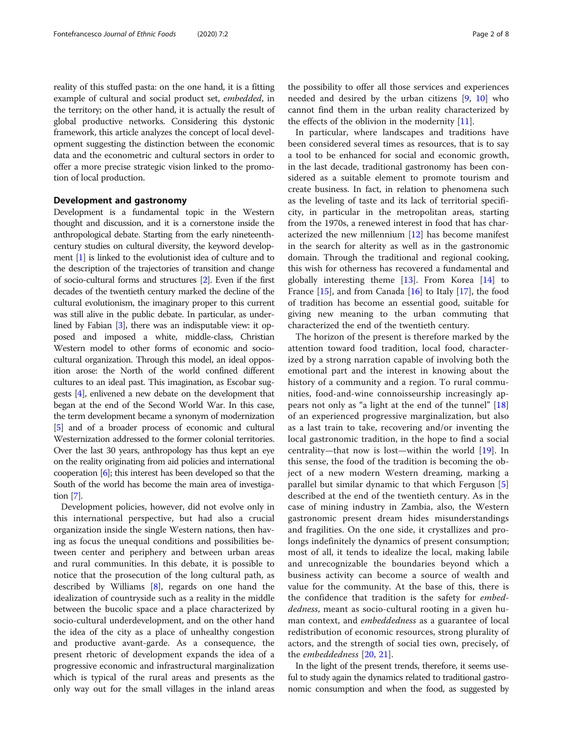reality of this stuffed pasta: on the one hand, it is a fitting example of cultural and social product set, embedded, in the territory; on the other hand, it is actually the result of global productive networks. Considering this dystonic framework, this article analyzes the concept of local development suggesting the distinction between the economic data and the econometric and cultural sectors in order to offer a more precise strategic vision linked to the promotion of local production.

#### Development and gastronomy

Development is a fundamental topic in the Western thought and discussion, and it is a cornerstone inside the anthropological debate. Starting from the early nineteenthcentury studies on cultural diversity, the keyword development [\[1\]](#page-6-0) is linked to the evolutionist idea of culture and to the description of the trajectories of transition and change of socio-cultural forms and structures [[2](#page-6-0)]. Even if the first decades of the twentieth century marked the decline of the cultural evolutionism, the imaginary proper to this current was still alive in the public debate. In particular, as underlined by Fabian [\[3\]](#page-6-0), there was an indisputable view: it opposed and imposed a white, middle-class, Christian Western model to other forms of economic and sociocultural organization. Through this model, an ideal opposition arose: the North of the world confined different cultures to an ideal past. This imagination, as Escobar suggests [\[4\]](#page-6-0), enlivened a new debate on the development that began at the end of the Second World War. In this case, the term development became a synonym of modernization [[5](#page-6-0)] and of a broader process of economic and cultural Westernization addressed to the former colonial territories. Over the last 30 years, anthropology has thus kept an eye on the reality originating from aid policies and international cooperation [\[6\]](#page-6-0); this interest has been developed so that the South of the world has become the main area of investigation [[7\]](#page-7-0).

Development policies, however, did not evolve only in this international perspective, but had also a crucial organization inside the single Western nations, then having as focus the unequal conditions and possibilities between center and periphery and between urban areas and rural communities. In this debate, it is possible to notice that the prosecution of the long cultural path, as described by Williams [\[8](#page-7-0)], regards on one hand the idealization of countryside such as a reality in the middle between the bucolic space and a place characterized by socio-cultural underdevelopment, and on the other hand the idea of the city as a place of unhealthy congestion and productive avant-garde. As a consequence, the present rhetoric of development expands the idea of a progressive economic and infrastructural marginalization which is typical of the rural areas and presents as the only way out for the small villages in the inland areas the possibility to offer all those services and experiences needed and desired by the urban citizens [[9,](#page-7-0) [10](#page-7-0)] who cannot find them in the urban reality characterized by the effects of the oblivion in the modernity  $[11]$  $[11]$ .

In particular, where landscapes and traditions have been considered several times as resources, that is to say a tool to be enhanced for social and economic growth, in the last decade, traditional gastronomy has been considered as a suitable element to promote tourism and create business. In fact, in relation to phenomena such as the leveling of taste and its lack of territorial specificity, in particular in the metropolitan areas, starting from the 1970s, a renewed interest in food that has characterized the new millennium  $[12]$  has become manifest in the search for alterity as well as in the gastronomic domain. Through the traditional and regional cooking, this wish for otherness has recovered a fundamental and globally interesting theme  $[13]$ . From Korea  $[14]$  $[14]$  to France  $[15]$  $[15]$ , and from Canada  $[16]$  $[16]$  to Italy  $[17]$ , the food of tradition has become an essential good, suitable for giving new meaning to the urban commuting that characterized the end of the twentieth century.

The horizon of the present is therefore marked by the attention toward food tradition, local food, characterized by a strong narration capable of involving both the emotional part and the interest in knowing about the history of a community and a region. To rural communities, food-and-wine connoisseurship increasingly appears not only as "a light at the end of the tunnel" [\[18](#page-7-0)] of an experienced progressive marginalization, but also as a last train to take, recovering and/or inventing the local gastronomic tradition, in the hope to find a social centrality—that now is lost—within the world [[19\]](#page-7-0). In this sense, the food of the tradition is becoming the object of a new modern Western dreaming, marking a parallel but similar dynamic to that which Ferguson [\[5](#page-6-0)] described at the end of the twentieth century. As in the case of mining industry in Zambia, also, the Western gastronomic present dream hides misunderstandings and fragilities. On the one side, it crystallizes and prolongs indefinitely the dynamics of present consumption; most of all, it tends to idealize the local, making labile and unrecognizable the boundaries beyond which a business activity can become a source of wealth and value for the community. At the base of this, there is the confidence that tradition is the safety for embeddedness, meant as socio-cultural rooting in a given human context, and *embeddedness* as a guarantee of local redistribution of economic resources, strong plurality of actors, and the strength of social ties own, precisely, of the embeddedness [[20,](#page-7-0) [21\]](#page-7-0).

In the light of the present trends, therefore, it seems useful to study again the dynamics related to traditional gastronomic consumption and when the food, as suggested by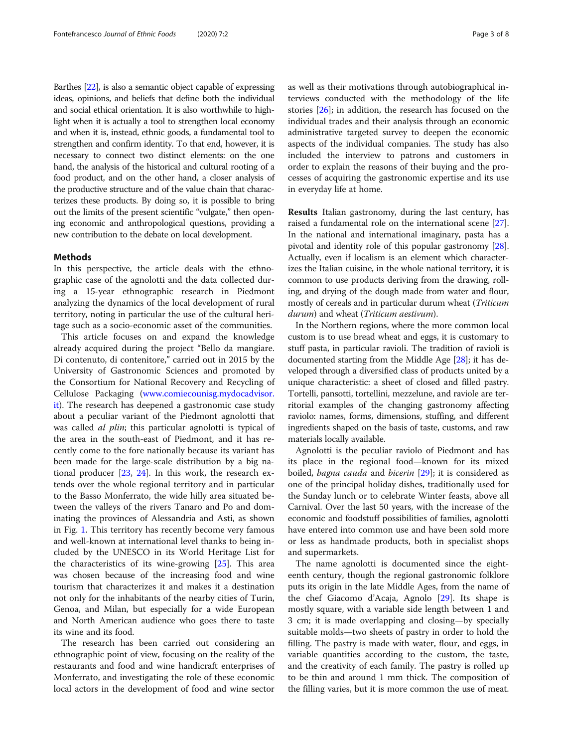Barthes [[22](#page-7-0)], is also a semantic object capable of expressing ideas, opinions, and beliefs that define both the individual and social ethical orientation. It is also worthwhile to highlight when it is actually a tool to strengthen local economy and when it is, instead, ethnic goods, a fundamental tool to strengthen and confirm identity. To that end, however, it is necessary to connect two distinct elements: on the one hand, the analysis of the historical and cultural rooting of a food product, and on the other hand, a closer analysis of the productive structure and of the value chain that characterizes these products. By doing so, it is possible to bring out the limits of the present scientific "vulgate," then opening economic and anthropological questions, providing a new contribution to the debate on local development.

## Methods

In this perspective, the article deals with the ethnographic case of the agnolotti and the data collected during a 15-year ethnographic research in Piedmont analyzing the dynamics of the local development of rural territory, noting in particular the use of the cultural heritage such as a socio-economic asset of the communities.

This article focuses on and expand the knowledge already acquired during the project "Bello da mangiare. Di contenuto, di contenitore," carried out in 2015 by the University of Gastronomic Sciences and promoted by the Consortium for National Recovery and Recycling of Cellulose Packaging [\(www.comiecounisg.mydocadvisor.](http://www.comiecounisg.mydocadvisor.it) [it](http://www.comiecounisg.mydocadvisor.it)). The research has deepened a gastronomic case study about a peculiar variant of the Piedmont agnolotti that was called *al plin*; this particular agnolotti is typical of the area in the south-east of Piedmont, and it has recently come to the fore nationally because its variant has been made for the large-scale distribution by a big national producer [\[23](#page-7-0), [24](#page-7-0)]. In this work, the research extends over the whole regional territory and in particular to the Basso Monferrato, the wide hilly area situated between the valleys of the rivers Tanaro and Po and dominating the provinces of Alessandria and Asti, as shown in Fig. [1](#page-3-0). This territory has recently become very famous and well-known at international level thanks to being included by the UNESCO in its World Heritage List for the characteristics of its wine-growing [[25\]](#page-7-0). This area was chosen because of the increasing food and wine tourism that characterizes it and makes it a destination not only for the inhabitants of the nearby cities of Turin, Genoa, and Milan, but especially for a wide European and North American audience who goes there to taste its wine and its food.

The research has been carried out considering an ethnographic point of view, focusing on the reality of the restaurants and food and wine handicraft enterprises of Monferrato, and investigating the role of these economic local actors in the development of food and wine sector as well as their motivations through autobiographical interviews conducted with the methodology of the life stories [[26\]](#page-7-0); in addition, the research has focused on the individual trades and their analysis through an economic administrative targeted survey to deepen the economic aspects of the individual companies. The study has also included the interview to patrons and customers in order to explain the reasons of their buying and the processes of acquiring the gastronomic expertise and its use in everyday life at home.

Results Italian gastronomy, during the last century, has raised a fundamental role on the international scene [[27](#page-7-0)]. In the national and international imaginary, pasta has a pivotal and identity role of this popular gastronomy [[28](#page-7-0)]. Actually, even if localism is an element which characterizes the Italian cuisine, in the whole national territory, it is common to use products deriving from the drawing, rolling, and drying of the dough made from water and flour, mostly of cereals and in particular durum wheat (Triticum durum) and wheat (Triticum aestivum).

In the Northern regions, where the more common local custom is to use bread wheat and eggs, it is customary to stuff pasta, in particular ravioli. The tradition of ravioli is documented starting from the Middle Age [[28](#page-7-0)]; it has developed through a diversified class of products united by a unique characteristic: a sheet of closed and filled pastry. Tortelli, pansotti, tortellini, mezzelune, and raviole are territorial examples of the changing gastronomy affecting raviolo: names, forms, dimensions, stuffing, and different ingredients shaped on the basis of taste, customs, and raw materials locally available.

Agnolotti is the peculiar raviolo of Piedmont and has its place in the regional food—known for its mixed boiled, *bagna cauda* and *bicerin* [\[29\]](#page-7-0); it is considered as one of the principal holiday dishes, traditionally used for the Sunday lunch or to celebrate Winter feasts, above all Carnival. Over the last 50 years, with the increase of the economic and foodstuff possibilities of families, agnolotti have entered into common use and have been sold more or less as handmade products, both in specialist shops and supermarkets.

The name agnolotti is documented since the eighteenth century, though the regional gastronomic folklore puts its origin in the late Middle Ages, from the name of the chef Giacomo d'Acaja, Agnolo [\[29\]](#page-7-0). Its shape is mostly square, with a variable side length between 1 and 3 cm; it is made overlapping and closing—by specially suitable molds—two sheets of pastry in order to hold the filling. The pastry is made with water, flour, and eggs, in variable quantities according to the custom, the taste, and the creativity of each family. The pastry is rolled up to be thin and around 1 mm thick. The composition of the filling varies, but it is more common the use of meat.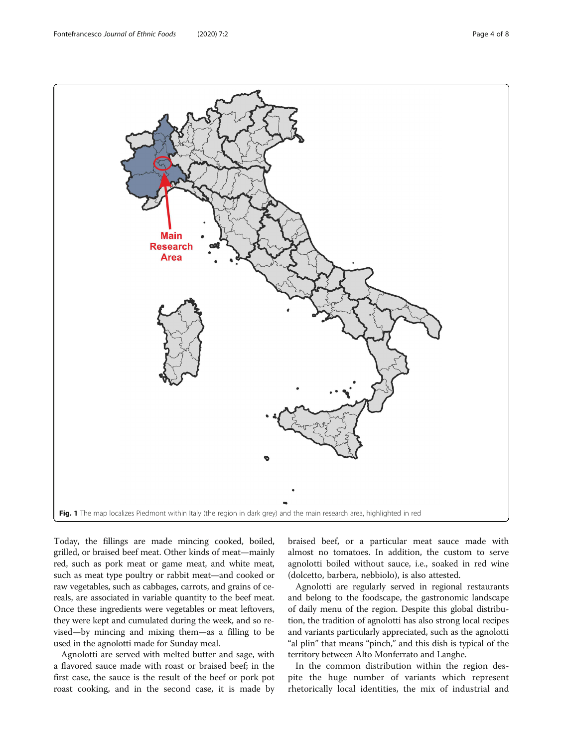<span id="page-3-0"></span>

Today, the fillings are made mincing cooked, boiled, grilled, or braised beef meat. Other kinds of meat—mainly red, such as pork meat or game meat, and white meat, such as meat type poultry or rabbit meat—and cooked or raw vegetables, such as cabbages, carrots, and grains of cereals, are associated in variable quantity to the beef meat. Once these ingredients were vegetables or meat leftovers, they were kept and cumulated during the week, and so revised—by mincing and mixing them—as a filling to be used in the agnolotti made for Sunday meal.

Agnolotti are served with melted butter and sage, with a flavored sauce made with roast or braised beef; in the first case, the sauce is the result of the beef or pork pot roast cooking, and in the second case, it is made by

braised beef, or a particular meat sauce made with almost no tomatoes. In addition, the custom to serve agnolotti boiled without sauce, i.e., soaked in red wine (dolcetto, barbera, nebbiolo), is also attested.

Agnolotti are regularly served in regional restaurants and belong to the foodscape, the gastronomic landscape of daily menu of the region. Despite this global distribution, the tradition of agnolotti has also strong local recipes and variants particularly appreciated, such as the agnolotti "al plin" that means "pinch," and this dish is typical of the territory between Alto Monferrato and Langhe.

In the common distribution within the region despite the huge number of variants which represent rhetorically local identities, the mix of industrial and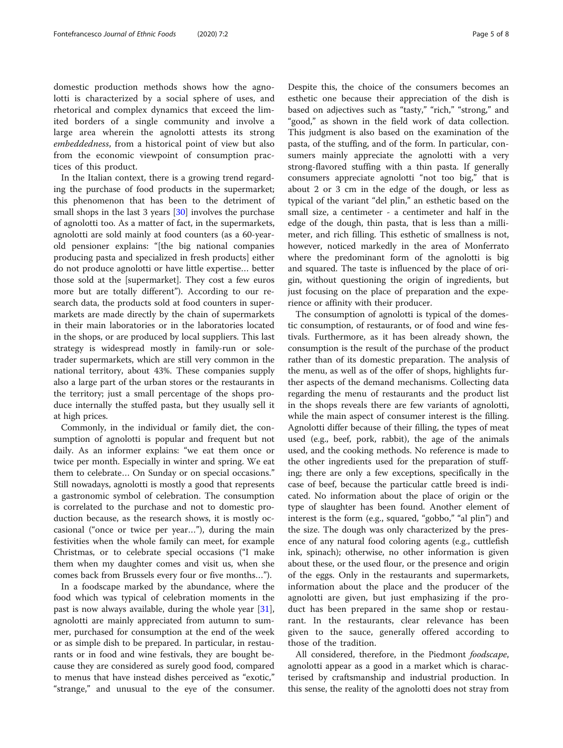domestic production methods shows how the agnolotti is characterized by a social sphere of uses, and rhetorical and complex dynamics that exceed the limited borders of a single community and involve a large area wherein the agnolotti attests its strong embeddedness, from a historical point of view but also from the economic viewpoint of consumption practices of this product.

In the Italian context, there is a growing trend regarding the purchase of food products in the supermarket; this phenomenon that has been to the detriment of small shops in the last 3 years [\[30\]](#page-7-0) involves the purchase of agnolotti too. As a matter of fact, in the supermarkets, agnolotti are sold mainly at food counters (as a 60-yearold pensioner explains: "[the big national companies producing pasta and specialized in fresh products] either do not produce agnolotti or have little expertise… better those sold at the [supermarket]. They cost a few euros more but are totally different"). According to our research data, the products sold at food counters in supermarkets are made directly by the chain of supermarkets in their main laboratories or in the laboratories located in the shops, or are produced by local suppliers. This last strategy is widespread mostly in family-run or soletrader supermarkets, which are still very common in the national territory, about 43%. These companies supply also a large part of the urban stores or the restaurants in the territory; just a small percentage of the shops produce internally the stuffed pasta, but they usually sell it at high prices.

Commonly, in the individual or family diet, the consumption of agnolotti is popular and frequent but not daily. As an informer explains: "we eat them once or twice per month. Especially in winter and spring. We eat them to celebrate… On Sunday or on special occasions." Still nowadays, agnolotti is mostly a good that represents a gastronomic symbol of celebration. The consumption is correlated to the purchase and not to domestic production because, as the research shows, it is mostly occasional ("once or twice per year…"), during the main festivities when the whole family can meet, for example Christmas, or to celebrate special occasions ("I make them when my daughter comes and visit us, when she comes back from Brussels every four or five months…").

In a foodscape marked by the abundance, where the food which was typical of celebration moments in the past is now always available, during the whole year [\[31](#page-7-0)], agnolotti are mainly appreciated from autumn to summer, purchased for consumption at the end of the week or as simple dish to be prepared. In particular, in restaurants or in food and wine festivals, they are bought because they are considered as surely good food, compared to menus that have instead dishes perceived as "exotic," "strange," and unusual to the eye of the consumer. Despite this, the choice of the consumers becomes an esthetic one because their appreciation of the dish is based on adjectives such as "tasty," "rich," "strong," and "good," as shown in the field work of data collection. This judgment is also based on the examination of the pasta, of the stuffing, and of the form. In particular, consumers mainly appreciate the agnolotti with a very strong-flavored stuffing with a thin pasta. If generally consumers appreciate agnolotti "not too big," that is about 2 or 3 cm in the edge of the dough, or less as typical of the variant "del plin," an esthetic based on the small size, a centimeter - a centimeter and half in the edge of the dough, thin pasta, that is less than a millimeter, and rich filling. This esthetic of smallness is not, however, noticed markedly in the area of Monferrato where the predominant form of the agnolotti is big and squared. The taste is influenced by the place of origin, without questioning the origin of ingredients, but just focusing on the place of preparation and the experience or affinity with their producer.

The consumption of agnolotti is typical of the domestic consumption, of restaurants, or of food and wine festivals. Furthermore, as it has been already shown, the consumption is the result of the purchase of the product rather than of its domestic preparation. The analysis of the menu, as well as of the offer of shops, highlights further aspects of the demand mechanisms. Collecting data regarding the menu of restaurants and the product list in the shops reveals there are few variants of agnolotti, while the main aspect of consumer interest is the filling. Agnolotti differ because of their filling, the types of meat used (e.g., beef, pork, rabbit), the age of the animals used, and the cooking methods. No reference is made to the other ingredients used for the preparation of stuffing; there are only a few exceptions, specifically in the case of beef, because the particular cattle breed is indicated. No information about the place of origin or the type of slaughter has been found. Another element of interest is the form (e.g., squared, "gobbo," "al plin") and the size. The dough was only characterized by the presence of any natural food coloring agents (e.g., cuttlefish ink, spinach); otherwise, no other information is given about these, or the used flour, or the presence and origin of the eggs. Only in the restaurants and supermarkets, information about the place and the producer of the agnolotti are given, but just emphasizing if the product has been prepared in the same shop or restaurant. In the restaurants, clear relevance has been given to the sauce, generally offered according to those of the tradition.

All considered, therefore, in the Piedmont *foodscape*, agnolotti appear as a good in a market which is characterised by craftsmanship and industrial production. In this sense, the reality of the agnolotti does not stray from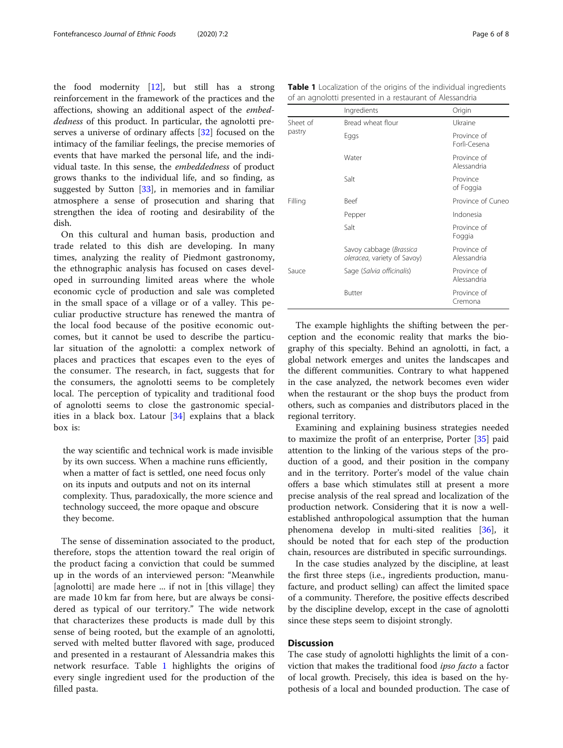the food modernity [[12](#page-7-0)], but still has a strong reinforcement in the framework of the practices and the affections, showing an additional aspect of the embeddedness of this product. In particular, the agnolotti preserves a universe of ordinary affects [\[32](#page-7-0)] focused on the intimacy of the familiar feelings, the precise memories of events that have marked the personal life, and the individual taste. In this sense, the embeddedness of product grows thanks to the individual life, and so finding, as suggested by Sutton [[33\]](#page-7-0), in memories and in familiar atmosphere a sense of prosecution and sharing that strengthen the idea of rooting and desirability of the dish.

On this cultural and human basis, production and trade related to this dish are developing. In many times, analyzing the reality of Piedmont gastronomy, the ethnographic analysis has focused on cases developed in surrounding limited areas where the whole economic cycle of production and sale was completed in the small space of a village or of a valley. This peculiar productive structure has renewed the mantra of the local food because of the positive economic outcomes, but it cannot be used to describe the particular situation of the agnolotti: a complex network of places and practices that escapes even to the eyes of the consumer. The research, in fact, suggests that for the consumers, the agnolotti seems to be completely local. The perception of typicality and traditional food of agnolotti seems to close the gastronomic specialities in a black box. Latour [\[34](#page-7-0)] explains that a black box is:

the way scientific and technical work is made invisible by its own success. When a machine runs efficiently, when a matter of fact is settled, one need focus only on its inputs and outputs and not on its internal complexity. Thus, paradoxically, the more science and technology succeed, the more opaque and obscure they become.

The sense of dissemination associated to the product, therefore, stops the attention toward the real origin of the product facing a conviction that could be summed up in the words of an interviewed person: "Meanwhile [agnolotti] are made here ... if not in [this village] they are made 10 km far from here, but are always be considered as typical of our territory." The wide network that characterizes these products is made dull by this sense of being rooted, but the example of an agnolotti, served with melted butter flavored with sage, produced and presented in a restaurant of Alessandria makes this network resurface. Table 1 highlights the origins of every single ingredient used for the production of the filled pasta.

Table 1 Localization of the origins of the individual ingredients of an agnolotti presented in a restaurant of Alessandria

|                    | Ingredients                                            | Origin                      |
|--------------------|--------------------------------------------------------|-----------------------------|
| Sheet of<br>pastry | Bread wheat flour                                      | Ukraine                     |
|                    | Eggs                                                   | Province of<br>Forlì-Cesena |
|                    | Water                                                  | Province of<br>Alessandria  |
|                    | Salt                                                   | Province<br>of Foggia       |
| Filling            | <b>Beef</b>                                            | Province of Cuneo           |
|                    | Pepper                                                 | Indonesia                   |
|                    | Salt                                                   | Province of<br>Foggia       |
|                    | Savoy cabbage (Brassica<br>oleracea, variety of Savoy) | Province of<br>Alessandria  |
| Sauce              | Sage (Salvia officinalis)                              | Province of<br>Alessandria  |
|                    | <b>Butter</b>                                          | Province of<br>Cremona      |

The example highlights the shifting between the perception and the economic reality that marks the biography of this specialty. Behind an agnolotti, in fact, a global network emerges and unites the landscapes and the different communities. Contrary to what happened in the case analyzed, the network becomes even wider when the restaurant or the shop buys the product from others, such as companies and distributors placed in the regional territory.

Examining and explaining business strategies needed to maximize the profit of an enterprise, Porter [[35\]](#page-7-0) paid attention to the linking of the various steps of the production of a good, and their position in the company and in the territory. Porter's model of the value chain offers a base which stimulates still at present a more precise analysis of the real spread and localization of the production network. Considering that it is now a wellestablished anthropological assumption that the human phenomena develop in multi-sited realities [[36\]](#page-7-0), it should be noted that for each step of the production chain, resources are distributed in specific surroundings.

In the case studies analyzed by the discipline, at least the first three steps (i.e., ingredients production, manufacture, and product selling) can affect the limited space of a community. Therefore, the positive effects described by the discipline develop, except in the case of agnolotti since these steps seem to disjoint strongly.

## **Discussion**

The case study of agnolotti highlights the limit of a conviction that makes the traditional food ipso facto a factor of local growth. Precisely, this idea is based on the hypothesis of a local and bounded production. The case of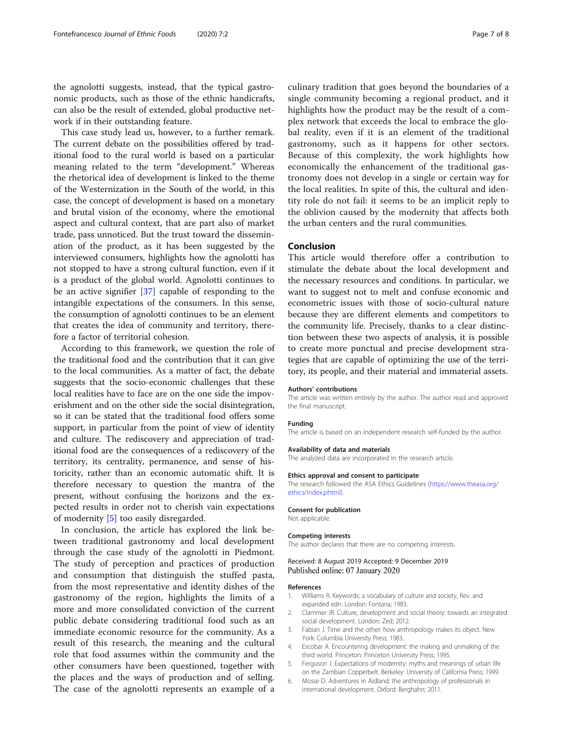<span id="page-6-0"></span>the agnolotti suggests, instead, that the typical gastronomic products, such as those of the ethnic handicrafts, can also be the result of extended, global productive network if in their outstanding feature.

This case study lead us, however, to a further remark. The current debate on the possibilities offered by traditional food to the rural world is based on a particular meaning related to the term "development." Whereas the rhetorical idea of development is linked to the theme of the Westernization in the South of the world, in this case, the concept of development is based on a monetary and brutal vision of the economy, where the emotional aspect and cultural context, that are part also of market trade, pass unnoticed. But the trust toward the dissemination of the product, as it has been suggested by the interviewed consumers, highlights how the agnolotti has not stopped to have a strong cultural function, even if it is a product of the global world. Agnolotti continues to be an active signifier [[37\]](#page-7-0) capable of responding to the intangible expectations of the consumers. In this sense, the consumption of agnolotti continues to be an element that creates the idea of community and territory, therefore a factor of territorial cohesion.

According to this framework, we question the role of the traditional food and the contribution that it can give to the local communities. As a matter of fact, the debate suggests that the socio-economic challenges that these local realities have to face are on the one side the impoverishment and on the other side the social disintegration, so it can be stated that the traditional food offers some support, in particular from the point of view of identity and culture. The rediscovery and appreciation of traditional food are the consequences of a rediscovery of the territory, its centrality, permanence, and sense of historicity, rather than an economic automatic shift. It is therefore necessary to question the mantra of the present, without confusing the horizons and the expected results in order not to cherish vain expectations of modernity [5] too easily disregarded.

In conclusion, the article has explored the link between traditional gastronomy and local development through the case study of the agnolotti in Piedmont. The study of perception and practices of production and consumption that distinguish the stuffed pasta, from the most representative and identity dishes of the gastronomy of the region, highlights the limits of a more and more consolidated conviction of the current public debate considering traditional food such as an immediate economic resource for the community. As a result of this research, the meaning and the cultural role that food assumes within the community and the other consumers have been questioned, together with the places and the ways of production and of selling. The case of the agnolotti represents an example of a

culinary tradition that goes beyond the boundaries of a single community becoming a regional product, and it highlights how the product may be the result of a complex network that exceeds the local to embrace the global reality, even if it is an element of the traditional gastronomy, such as it happens for other sectors. Because of this complexity, the work highlights how economically the enhancement of the traditional gastronomy does not develop in a single or certain way for the local realities. In spite of this, the cultural and identity role do not fail: it seems to be an implicit reply to the oblivion caused by the modernity that affects both the urban centers and the rural communities.

## Conclusion

This article would therefore offer a contribution to stimulate the debate about the local development and the necessary resources and conditions. In particular, we want to suggest not to melt and confuse economic and econometric issues with those of socio-cultural nature because they are different elements and competitors to the community life. Precisely, thanks to a clear distinction between these two aspects of analysis, it is possible to create more punctual and precise development strategies that are capable of optimizing the use of the territory, its people, and their material and immaterial assets.

#### Authors' contributions

The article was written entirely by the author. The author read and approved the final manuscript.

#### Funding

The article is based on an independent research self-funded by the author.

#### Availability of data and materials

The analyzed data are incorporated in the research article.

#### Ethics approval and consent to participate

The research followed the ASA Ethics Guidelines [\(https://www.theasa.org/](https://www.theasa.org/ethics/index.phtml) [ethics/index.phtml](https://www.theasa.org/ethics/index.phtml)).

#### Consent for publication

Not applicable.

#### Competing interests

The author declares that there are no competing interests.

### Received: 8 August 2019 Accepted: 9 December 2019 Published online: 07 January 2020

#### References

- 1. Williams R. Keywords: a vocabulary of culture and society, Rev. and expanded edn. London: Fontana; 1983.
- 2. Clammer JR. Culture, development and social theory: towards an integrated social development. London: Zed; 2012.
- 3. Fabian J. Time and the other: how anthropology makes its object. New York: Columbia University Press; 1983.
- 4. Escobar A. Encountering development: the making and unmaking of the third world. Princeton: Princeton University Press; 1995.
- 5. Ferguson J. Expectations of modernity: myths and meanings of urban life on the Zambian Copperbelt. Berkeley: University of California Press; 1999.
- 6. Mosse D. Adventures in Aidland: the anthropology of professionals in international development. Oxford: Berghahn; 2011.